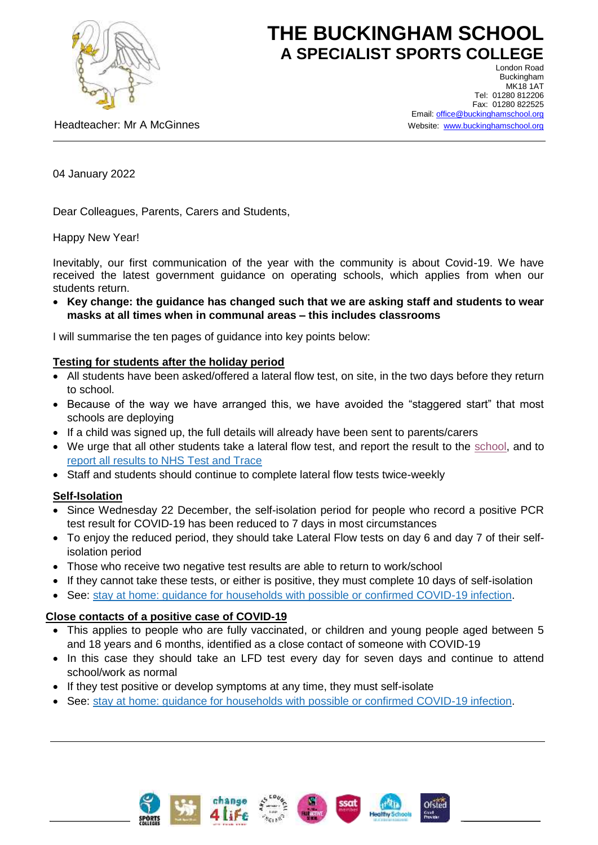

# **THE BUCKINGHAM SCHOOL A SPECIALIST SPORTS COLLEGE**

London Road Buckingham **MK18 1AT** Tel: 01280 812206 Fax: 01280 822525 Email[: office@buckinghamschool.org](mailto:office@buckinghamschool.org) Website: [www.buckinghamschool.org](http://www.buckinghamschool.org/)

Headteacher: Mr A McGinnes

04 January 2022

Dear Colleagues, Parents, Carers and Students,

#### Happy New Year!

Inevitably, our first communication of the year with the community is about Covid-19. We have received the latest government guidance on operating schools, which applies from when our students return.

 **Key change: the guidance has changed such that we are asking staff and students to wear masks at all times when in communal areas – this includes classrooms**

I will summarise the ten pages of guidance into key points below:

#### **Testing for students after the holiday period**

- All students have been asked/offered a lateral flow test, on site, in the two days before they return to school.
- Because of the way we have arranged this, we have avoided the "staggered start" that most schools are deploying
- If a child was signed up, the full details will already have been sent to parents/carers
- We urge that all other students take a lateral flow test, and report the result to the [school,](https://www.buckinghamschool.org/news/?pid=3&nid=1&storyid=2480) and to [report all results to NHS Test and Trace](https://www.gov.uk/report-covid19-result?utm_source=2%20January%202022%20C19&utm_medium=Daily%20Email%20C19&utm_campaign=DfE%20C19)
- Staff and students should continue to complete lateral flow tests twice-weekly

#### **Self-Isolation**

- Since Wednesday 22 December, the self-isolation period for people who record a positive PCR test result for COVID-19 has been reduced to 7 days in most circumstances
- To enjoy the reduced period, they should take Lateral Flow tests on day 6 and day 7 of their selfisolation period
- Those who receive two negative test results are able to return to work/school
- If they cannot take these tests, or either is positive, they must complete 10 days of self-isolation
- See: [stay at home: guidance for households with possible or confirmed COVID-19 infection.](https://www.gov.uk/government/publications/covid-19-stay-at-home-guidance/stay-at-home-guidance-for-households-with-possible-coronavirus-covid-19-infection?utm_source=2%20January%202022%20C19&utm_medium=Daily%20Email%20C19&utm_campaign=DfE%20C19)

#### **Close contacts of a positive case of COVID-19**

- This applies to people who are fully vaccinated, or children and young people aged between 5 and 18 years and 6 months, identified as a close contact of someone with COVID-19
- In this case they should take an LFD test every day for seven days and continue to attend school/work as normal
- If they test positive or develop symptoms at any time, they must self-isolate
- See: [stay at home: guidance for households with possible or confirmed COVID-19 infection.](https://www.gov.uk/government/publications/covid-19-stay-at-home-guidance/stay-at-home-guidance-for-households-with-possible-coronavirus-covid-19-infection?utm_source=2%20January%202022%20C19&utm_medium=Daily%20Email%20C19&utm_campaign=DfE%20C19)









Ofsted